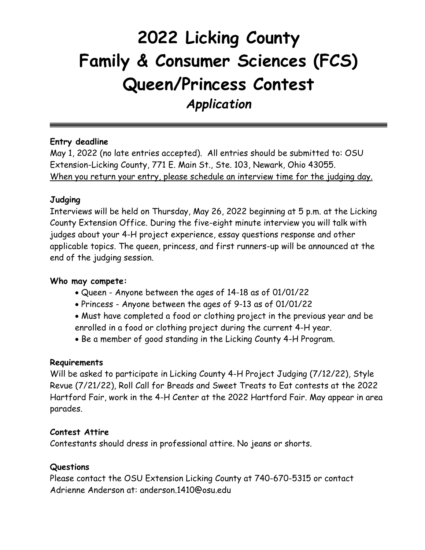# **2022 Licking County Family & Consumer Sciences (FCS) Queen/Princess Contest** *Application*

## **Entry deadline**

May 1, 2022 (no late entries accepted). All entries should be submitted to: OSU Extension-Licking County, 771 E. Main St., Ste. 103, Newark, Ohio 43055. When you return your entry, please schedule an interview time for the judging day.

## **Judging**

Interviews will be held on Thursday, May 26, 2022 beginning at 5 p.m. at the Licking County Extension Office. During the five-eight minute interview you will talk with judges about your 4-H project experience, essay questions response and other applicable topics. The queen, princess, and first runners-up will be announced at the end of the judging session.

## **Who may compete:**

- Queen Anyone between the ages of 14-18 as of 01/01/22
- Princess Anyone between the ages of 9-13 as of 01/01/22
- Must have completed a food or clothing project in the previous year and be enrolled in a food or clothing project during the current 4-H year.
- Be a member of good standing in the Licking County 4-H Program.

### **Requirements**

Will be asked to participate in Licking County 4-H Project Judging (7/12/22), Style Revue (7/21/22), Roll Call for Breads and Sweet Treats to Eat contests at the 2022 Hartford Fair, work in the 4-H Center at the 2022 Hartford Fair. May appear in area parades.

## **Contest Attire**

Contestants should dress in professional attire. No jeans or shorts.

## **Questions**

Please contact the OSU Extension Licking County at 740-670-5315 or contact Adrienne Anderson at: anderson.1410@osu.edu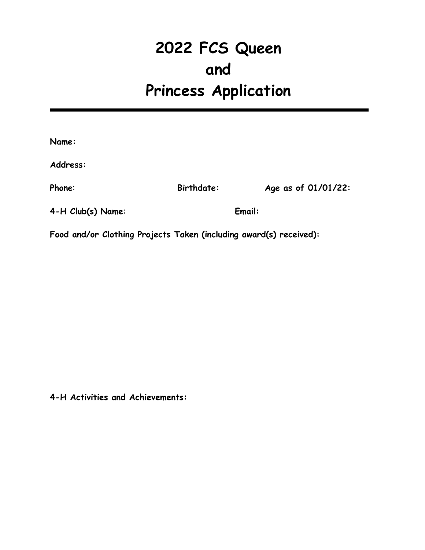## **2022 FCS Queen and Princess Application**

| Name:                                                              |                   |                     |
|--------------------------------------------------------------------|-------------------|---------------------|
| Address:                                                           |                   |                     |
| Phone:                                                             | <b>Birthdate:</b> | Age as of 01/01/22: |
| 4-H Club(s) Name:                                                  | Email:            |                     |
| Food and/or Clothing Projects Taken (including award(s) received): |                   |                     |

**4-H Activities and Achievements:**